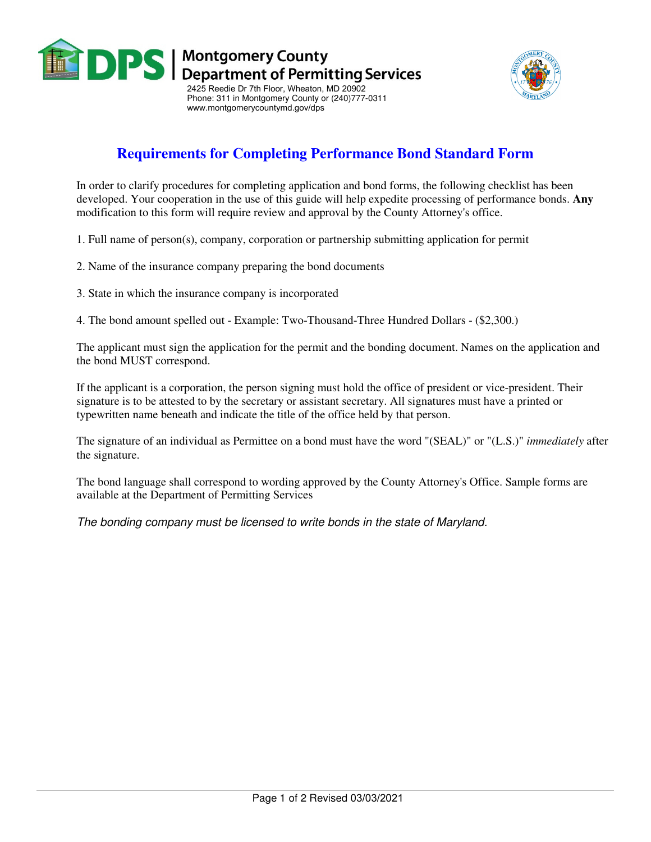

www.montgomerycountymd.gov/dps



## **Requirements for Completing Performance Bond Standard Form**

In order to clarify procedures for completing application and bond forms, the following checklist has been developed. Your cooperation in the use of this guide will help expedite processing of performance bonds. **Any**  modification to this form will require review and approval by the County Attorney's office.

1. Full name of person(s), company, corporation or partnership submitting application for permit

- 2. Name of the insurance company preparing the bond documents
- 3. State in which the insurance company is incorporated

4. The bond amount spelled out - Example: Two-Thousand-Three Hundred Dollars - (\$2,300.)

The applicant must sign the application for the permit and the bonding document. Names on the application and the bond MUST correspond.

If the applicant is a corporation, the person signing must hold the office of president or vice-president. Their signature is to be attested to by the secretary or assistant secretary. All signatures must have a printed or typewritten name beneath and indicate the title of the office held by that person.

The signature of an individual as Permittee on a bond must have the word "(SEAL)" or "(L.S.)" *immediately* after the signature.

The bond language shall correspond to wording approved by the County Attorney's Office. Sample forms are available at the Department of Permitting Services

The bonding company must be licensed to write bonds in the state of Maryland.